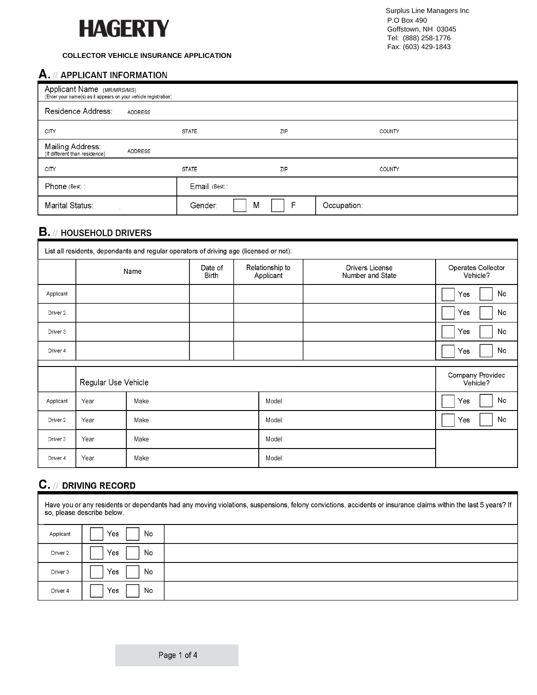

#### **COLLECTOR VEHICLE INSURANCE APPLICATION**

## A. // APPLICANT INFORMATION

| Applicant Name (MR/MRS/MS):<br>(Enter your name(s) as it appears on your vehicle registration) |                |              |        |               |  |  |
|------------------------------------------------------------------------------------------------|----------------|--------------|--------|---------------|--|--|
| Residence Address:                                                                             | <b>ADDRESS</b> |              |        |               |  |  |
| <b>CITY</b>                                                                                    |                | <b>STATE</b> | ZIP    | <b>COUNTY</b> |  |  |
| Mailing Address:<br>(If different than residence)                                              | <b>ADDRESS</b> |              |        |               |  |  |
| <b>CITY</b>                                                                                    |                | <b>STATE</b> | ZIP    | <b>COUNTY</b> |  |  |
| Phone (Best) ;                                                                                 |                | Email (Best) |        |               |  |  |
| Marital Status:                                                                                |                | Gender:      | F<br>M | Occupation:   |  |  |

## $B.$  // HOUSEHOLD DRIVERS

| List all residents, dependants and regular operators of driving age (licensed or not): |                     |       |                         |  |                              |                                            |  |                                |
|----------------------------------------------------------------------------------------|---------------------|-------|-------------------------|--|------------------------------|--------------------------------------------|--|--------------------------------|
|                                                                                        | Name                |       | Date of<br><b>Birth</b> |  | Relationship to<br>Applicant | <b>Drivers License</b><br>Number and State |  | Operates Collector<br>Vehicle? |
| Applicant                                                                              |                     |       |                         |  |                              |                                            |  | No<br>Yes:                     |
| Driver 2                                                                               |                     |       |                         |  |                              |                                            |  | No<br>Yes                      |
| Driver 3                                                                               |                     |       |                         |  |                              |                                            |  | No<br>Yes                      |
| Driver 4                                                                               |                     |       |                         |  |                              |                                            |  | No<br>Yes                      |
|                                                                                        |                     |       |                         |  |                              |                                            |  |                                |
|                                                                                        | Regular Use Vehicle |       |                         |  |                              |                                            |  | Company Provided<br>Vehicle?   |
| Applicant                                                                              | Year:               | Make: |                         |  | Model:                       |                                            |  | No<br>Yes                      |
| Driver 2                                                                               | Year:               | Make: |                         |  | Model:                       |                                            |  | No<br>Yes                      |
| Driver 3                                                                               | Year:               | Make: |                         |  | Model:                       |                                            |  |                                |
| Driver 4                                                                               | Year:               | Make: |                         |  | Model:                       |                                            |  |                                |

## **C.** // DRIVING RECORD

Have you or any residents or dependants had any moving violations, suspensions, felony convictions, accidents or insurance claims within the last 5 years? If so, please describe below. Yes No Applicant Yes No Driver 2 Driver 3 Yes No Driver 4 Yes No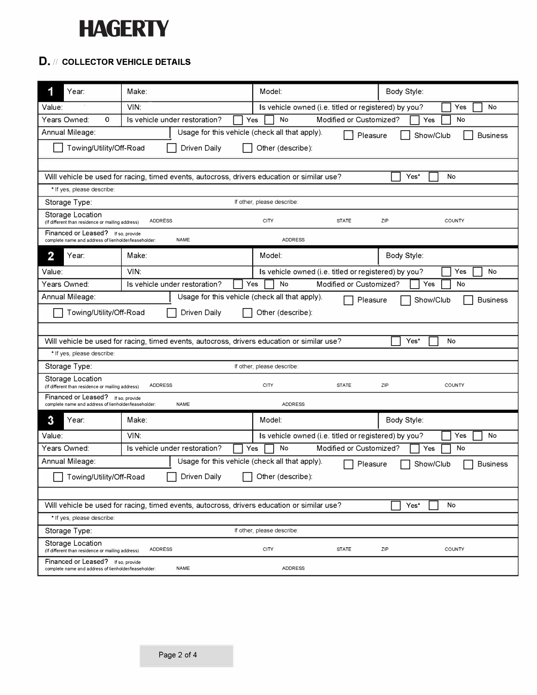## **HAGERTY**

## **D.** *JI* **COLLECTOR VEHICLE DETAILS**

| 1<br>Year:                                                                                                           | Make:                                                                                                     |                                                                                             | Model:                                               |                                                      | Body Style: |                 |  |
|----------------------------------------------------------------------------------------------------------------------|-----------------------------------------------------------------------------------------------------------|---------------------------------------------------------------------------------------------|------------------------------------------------------|------------------------------------------------------|-------------|-----------------|--|
| Value:                                                                                                               | VIN:                                                                                                      |                                                                                             | Is vehicle owned (i.e. titled or registered) by you? |                                                      | Yes<br>No   |                 |  |
| Years Owned:<br>0                                                                                                    | Is vehicle under restoration?<br>Modified or Customized?<br>No<br>Yes<br>Yes<br>No                        |                                                                                             |                                                      |                                                      |             |                 |  |
| Annual Mileage:                                                                                                      | Usage for this vehicle (check all that apply).<br>Pleasure<br>Show/Club<br><b>Business</b>                |                                                                                             |                                                      |                                                      |             |                 |  |
|                                                                                                                      | Towing/Utility/Off-Road<br>Driven Daily<br>Other (describe):                                              |                                                                                             |                                                      |                                                      |             |                 |  |
|                                                                                                                      |                                                                                                           |                                                                                             |                                                      |                                                      |             |                 |  |
|                                                                                                                      |                                                                                                           | Will vehicle be used for racing, timed events, autocross, drivers education or similar use? |                                                      |                                                      | Yes*        | No              |  |
| * If yes, please describe:                                                                                           |                                                                                                           |                                                                                             |                                                      |                                                      |             |                 |  |
| Storage Type:                                                                                                        |                                                                                                           |                                                                                             | If other, please describe:                           |                                                      |             |                 |  |
| Storage Location<br>(If different than residence or mailing address)                                                 | <b>ADDRESS</b>                                                                                            |                                                                                             | <b>CITY</b>                                          | <b>STATE</b>                                         | ZIP         | COUNTY          |  |
| Financed or Leased? If so, provide<br>complete name and address of lienholder/leaseholder:                           |                                                                                                           | <b>NAME</b>                                                                                 | <b>ADDRESS</b>                                       |                                                      |             |                 |  |
| 2<br>Year:                                                                                                           | Make:                                                                                                     |                                                                                             | Model:                                               |                                                      | Body Style: |                 |  |
| Value:                                                                                                               | VIN:                                                                                                      |                                                                                             |                                                      | Is vehicle owned (i.e. titled or registered) by you? |             | No<br>Yes       |  |
| Years Owned:                                                                                                         |                                                                                                           | Is vehicle under restoration?                                                               | No<br>Yes                                            | Modified or Customized?                              | Yes         | No              |  |
| Annual Mileage:                                                                                                      |                                                                                                           | Usage for this vehicle (check all that apply).                                              |                                                      | Pleasure                                             | Show/Club   | <b>Business</b> |  |
| Towing/Utility/Off-Road                                                                                              |                                                                                                           | Driven Daily                                                                                | Other (describe):                                    |                                                      |             |                 |  |
|                                                                                                                      |                                                                                                           |                                                                                             |                                                      |                                                      |             |                 |  |
|                                                                                                                      | Will vehicle be used for racing, timed events, autocross, drivers education or similar use?<br>Yes*<br>No |                                                                                             |                                                      |                                                      |             |                 |  |
| * If yes, please describe:                                                                                           |                                                                                                           |                                                                                             |                                                      |                                                      |             |                 |  |
| Storage Type:                                                                                                        |                                                                                                           |                                                                                             | If other, please describe:                           |                                                      |             |                 |  |
| Storage Location<br>(If different than residence or mailing address)                                                 | <b>ADDRESS</b>                                                                                            |                                                                                             | <b>CITY</b>                                          | <b>STATE</b>                                         | ZIP         | COUNTY          |  |
| Financed or Leased?<br>complete name and address of lienholder/leaseholder:                                          | If so, provide                                                                                            | <b>NAME</b>                                                                                 | <b>ADDRESS</b>                                       |                                                      |             |                 |  |
| 3<br>Year:                                                                                                           | Make:                                                                                                     |                                                                                             | Model:                                               |                                                      | Body Style: |                 |  |
| Value:                                                                                                               | VIN:                                                                                                      |                                                                                             |                                                      | Is vehicle owned (i.e. titled or registered) by you? |             | Yes<br>No       |  |
| Years Owned:                                                                                                         |                                                                                                           | Is vehicle under restoration?                                                               | Yes<br>No                                            | Modified or Customized?                              | Yes         | No              |  |
| Usage for this vehicle (check all that apply).<br>Annual Mileage:<br>Show/Club<br><b>Business</b><br>Pleasure        |                                                                                                           |                                                                                             |                                                      |                                                      |             |                 |  |
| Towing/Utility/Off-Road<br>Driven Daily<br>Other (describe):                                                         |                                                                                                           |                                                                                             |                                                      |                                                      |             |                 |  |
|                                                                                                                      |                                                                                                           |                                                                                             |                                                      |                                                      |             |                 |  |
| Will vehicle be used for racing, timed events, autocross, drivers education or similar use?<br>Yes*<br>No            |                                                                                                           |                                                                                             |                                                      |                                                      |             |                 |  |
| * If yes, please describe:                                                                                           |                                                                                                           |                                                                                             |                                                      |                                                      |             |                 |  |
| Storage Type:<br>If other, please describe:                                                                          |                                                                                                           |                                                                                             |                                                      |                                                      |             |                 |  |
| Storage Location<br>(If different than residence or mailing address)                                                 | <b>ADDRESS</b>                                                                                            |                                                                                             | <b>CITY</b>                                          | <b>STATE</b>                                         | ZIP         | <b>COUNTY</b>   |  |
| Financed or Leased? If so, provide<br>complete name and address of lienholder/leaseholder:<br><b>NAME</b><br>ADDRESS |                                                                                                           |                                                                                             |                                                      |                                                      |             |                 |  |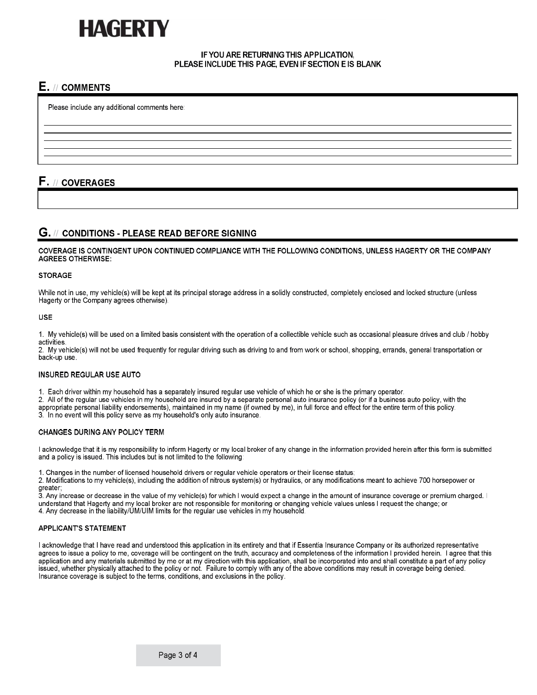# AGERI

#### IF YOU ARE RETURNING THIS APPLICATION, PLEASE INCLUDE THIS PAGE, EVEN IF SECTION E IS BLANK

## E. // COMMENTS

Please include any additional comments here:

F. // COVERAGES

### G. // CONDITIONS - PLEASE READ BEFORE SIGNING

COVERAGE IS CONTINGENT UPON CONTINUED COMPLIANCE WITH THE FOLLOWING CONDITIONS, UNLESS HAGERTY OR THE COMPANY **AGREES OTHERWISE:** 

#### **STORAGE**

While not in use, my vehicle(s) will be kept at its principal storage address in a solidly constructed, completely enclosed and locked structure (unless Hagerty or the Company agrees otherwise).

#### **USE**

1. My vehicle(s) will be used on a limited basis consistent with the operation of a collectible vehicle such as occasional pleasure drives and club / hobby activities.

2. My vehicle(s) will not be used frequently for regular driving such as driving to and from work or school, shopping, errands, general transportation or back-up use.

#### **INSURED REGULAR USE AUTO**

1. Each driver within my household has a separately insured regular use vehicle of which he or she is the primary operator.

2. All of the regular use vehicles in my household are insured by a separate personal auto insurance policy (or if a business auto policy, with the

appropriate personal liability endorsements), maintained in my name (if owned by me), in full force and effect for the entire term of this policy.

3. In no event will this policy serve as my household's only auto insurance.

#### **CHANGES DURING ANY POLICY TERM**

I acknowledge that it is my responsibility to inform Hagerty or my local broker of any change in the information provided herein after this form is submitted and a policy is issued. This includes but is not limited to the following:

1. Changes in the number of licensed household drivers or regular vehicle operators or their license status;

2. Modifications to my vehicle(s), including the addition of nitrous system(s) or hydraulics, or any modifications meant to achieve 700 horsepower or

greater;<br>3. Any increase or decrease in the value of my vehicle(s) for which I would expect a change in the amount of insurance coverage or premium charged. I understand that Hagerty and my local broker are not responsible for monitoring or changing vehicle values unless I request the change; or 4. Any decrease in the liability/UM/UIM limits for the regular use vehicles in my household.

#### **APPLICANT'S STATEMENT**

I acknowledge that I have read and understood this application in its entirety and that if Essentia Insurance Company or its authorized representative agrees to issue a policy to me, coverage will be contingent on the truth, accuracy and completeness of the information I provided herein. I agree that this application and any materials submitted by me or at my direction with this application, shall be incorporated into and shall constitute a part of any policy issued, whether physically attached to the policy or not. Failure to comply with any of the above conditions may result in coverage being denied. Insurance coverage is subject to the terms, conditions, and exclusions in the policy.